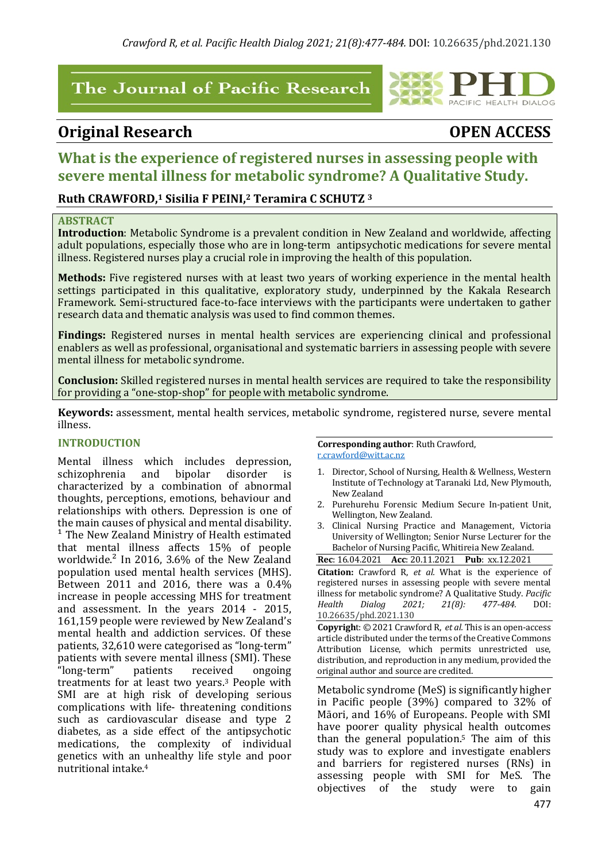# The Journal of Pacific Research

# **Original Research OPEN ACCESS**

PACIFIC HEALTH DIALOG

# What is the experience of registered nurses in assessing people with **severe mental illness for metabolic syndrome?** A Qualitative Study.

# **Ruth CRAWFORD,1 Sisilia F PEINI, <sup>2</sup> Teramira C SCHUTZ <sup>3</sup>**

#### **ABSTRACT**

**Introduction**: Metabolic Syndrome is a prevalent condition in New Zealand and worldwide, affecting adult populations, especially those who are in long-term antipsychotic medications for severe mental illness. Registered nurses play a crucial role in improving the health of this population.

**Methods:** Five registered nurses with at least two vears of working experience in the mental health settings participated in this qualitative, exploratory study, underpinned by the Kakala Research Framework. Semi-structured face-to-face interviews with the participants were undertaken to gather research data and thematic analysis was used to find common themes.

**Findings:** Registered nurses in mental health services are experiencing clinical and professional enablers as well as professional, organisational and systematic barriers in assessing people with severe mental illness for metabolic syndrome.

**Conclusion:** Skilled registered nurses in mental health services are required to take the responsibility for providing a "one-stop-shop" for people with metabolic syndrome.

**Keywords:** assessment, mental health services, metabolic syndrome, registered nurse, severe mental illness.

#### **INTRODUCTION**

Mental illness which includes depression, schizophrenia and bipolar disorder is characterized by a combination of abnormal thoughts, perceptions, emotions, behaviour and relationships with others. Depression is one of the main causes of physical and mental disability.  $1$  The New Zealand Ministry of Health estimated that mental illness affects 15% of people worldwide.<sup>2</sup> In 2016, 3.6% of the New Zealand population used mental health services (MHS). Between  $2011$  and  $2016$ , there was a  $0.4\%$ increase in people accessing MHS for treatment and assessment. In the years 2014 - 2015, 161,159 people were reviewed by New Zealand's mental health and addiction services. Of these patients, 32,610 were categorised as "long-term" patients with severe mental illness (SMI). These "long-term" patients received ongoing treatments for at least two years.<sup>3</sup> People with SMI are at high risk of developing serious complications with life- threatening conditions such as cardiovascular disease and type 2 diabetes, as a side effect of the antipsychotic medications, the complexity of individual genetics with an unhealthy life style and poor nutritional intake.<sup>4</sup>

**Corresponding author:** Ruth Crawford, r.crawford@witt.ac.nz

- 1. Director, School of Nursing, Health & Wellness, Western Institute of Technology at Taranaki Ltd, New Plymouth, New Zealand
- 2. Purehurehu Forensic Medium Secure In-patient Unit, Wellington, New Zealand.
- 3. Clinical Nursing Practice and Management, Victoria University of Wellington; Senior Nurse Lecturer for the Bachelor of Nursing Pacific, Whitireia New Zealand.

**Rec**: 16.04.2021 **Acc**: 20.11.2021 **Pub**: xx.12.2021 **Citation:** Crawford R, *et al.* What is the experience of registered nurses in assessing people with severe mental illness for metabolic syndrome? A Qualitative Study. *Pacific Health Dialog 2021; 21(8): 477-484.* DOI: 10.26635/phd.2021.130

**Copyright**: © 2021 Crawford R, *et al.* This is an open-access article distributed under the terms of the Creative Commons Attribution License, which permits unrestricted use, distribution, and reproduction in any medium, provided the original author and source are credited.

Metabolic syndrome (MeS) is significantly higher in Pacific people  $(39%)$  compared to  $32%$  of Māori, and 16% of Europeans. People with SMI have poorer quality physical health outcomes than the general population.<sup>5</sup> The aim of this study was to explore and investigate enablers and barriers for registered nurses (RNs) in assessing people with SMI for MeS. The objectives of the study were to gain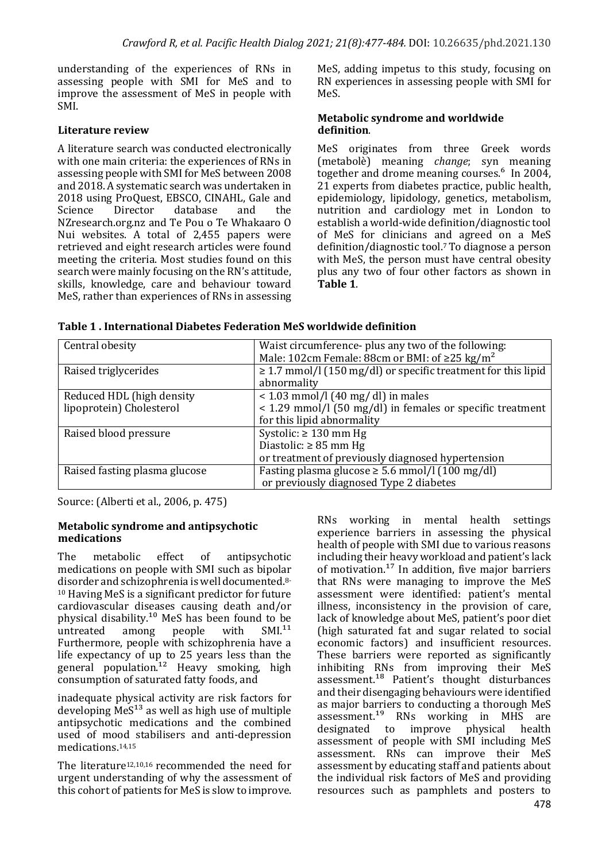understanding of the experiences of RNs in assessing people with SMI for MeS and to improve the assessment of MeS in people with SMI. 

## **Literature review**

A literature search was conducted electronically with one main criteria: the experiences of RNs in assessing people with SMI for MeS between 2008 and 2018. A systematic search was undertaken in 2018 using ProQuest, EBSCO, CINAHL, Gale and Science Director database and the NZresearch.org.nz and Te Pou o Te Whakaaro O Nui websites. A total of 2,455 papers were retrieved and eight research articles were found meeting the criteria. Most studies found on this search were mainly focusing on the RN's attitude, skills, knowledge, care and behaviour toward MeS, rather than experiences of RNs in assessing MeS, adding impetus to this study, focusing on RN experiences in assessing people with SMI for MeS. 

#### **Metabolic syndrome and worldwide definition**.

MeS originates from three Greek words (metabolѐ) meaning *change*; syn meaning together and drome meaning courses.<sup>6</sup> In 2004, 21 experts from diabetes practice, public health, epidemiology, lipidology, genetics, metabolism, nutrition and cardiology met in London to establish a world-wide definition/diagnostic tool of MeS for clinicians and agreed on a MeS definition/diagnostic tool.<sup>7</sup> To diagnose a person with MeS, the person must have central obesity plus any two of four other factors as shown in Table 1.

| Central obesity               | Waist circumference- plus any two of the following:                |  |
|-------------------------------|--------------------------------------------------------------------|--|
|                               | Male: 102cm Female: 88cm or BMI: of $\geq$ 25 kg/m <sup>2</sup>    |  |
| Raised triglycerides          | $\geq$ 1.7 mmol/l (150 mg/dl) or specific treatment for this lipid |  |
|                               | abnormality                                                        |  |
| Reduced HDL (high density     | $<$ 1.03 mmol/l (40 mg/ dl) in males                               |  |
| lipoprotein) Cholesterol      | < 1.29 mmol/l (50 mg/dl) in females or specific treatment          |  |
|                               | for this lipid abnormality                                         |  |
| Raised blood pressure         | Systolic: $\geq 130$ mm Hg                                         |  |
|                               | Diastolic: $\geq 85$ mm Hg                                         |  |
|                               | or treatment of previously diagnosed hypertension                  |  |
| Raised fasting plasma glucose | Fasting plasma glucose $\geq 5.6$ mmol/l (100 mg/dl)               |  |
|                               | or previously diagnosed Type 2 diabetes                            |  |

| Table 1. International Diabetes Federation MeS worldwide definition |  |
|---------------------------------------------------------------------|--|
|---------------------------------------------------------------------|--|

Source: (Alberti et al., 2006, p. 475)

#### **Metabolic syndrome and antipsychotic medications**

The metabolic effect of antipsychotic medications on people with SMI such as bipolar disorder and schizophrenia is well documented.<sup>8-</sup>  $10$  Having MeS is a significant predictor for future cardiovascular diseases causing death and/or physical disability.<sup>10</sup> MeS has been found to be untreated among people with SMI.<sup>11</sup> untreated among people with Furthermore, people with schizophrenia have a life expectancy of up to  $25$  years less than the general population.<sup>12</sup> Heavy smoking, high consumption of saturated fatty foods, and

inadequate physical activity are risk factors for developing  $\text{MeS}^{13}$  as well as high use of multiple antipsychotic medications and the combined used of mood stabilisers and anti-depression medications. 14,15

The literature<sup>12,10,16</sup> recommended the need for urgent understanding of why the assessment of this cohort of patients for MeS is slow to improve. RNs working in mental health settings experience barriers in assessing the physical health of people with SMI due to various reasons  $\frac{1}{2}$  including their heavy workload and patient's lack of motivation.<sup>17</sup> In addition, five major barriers that RNs were managing to improve the MeS assessment were identified: patient's mental illness, inconsistency in the provision of care, lack of knowledge about MeS, patient's poor diet (high saturated fat and sugar related to social economic factors) and insufficient resources. These barriers were reported as significantly inhibiting  $RNs$  from improving their  $MeS$ assessment.<sup>18</sup> Patient's thought disturbances and their disengaging behaviours were identified as major barriers to conducting a thorough MeS  $a$ ssessment.<sup>19</sup> RNs working in MHS are designated to improve physical health assessment of people with SMI including MeS assessment. RNs can improve their MeS assessment by educating staff and patients about the individual risk factors of MeS and providing resources such as pamphlets and posters to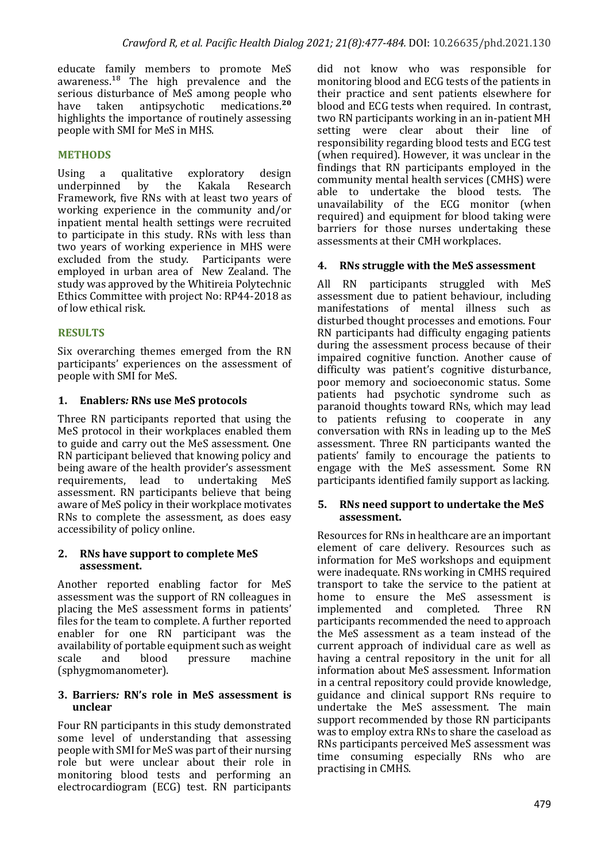educate family members to promote MeS awareness. $18$  The high prevalence and the serious disturbance of MeS among people who have taken antipsychotic medications.<sup>20</sup> highlights the importance of routinely assessing people with SMI for MeS in MHS.

### **METHODS**

Using a qualitative exploratory design underpinned by the Kakala Research Framework, five RNs with at least two vears of working experience in the community and/or inpatient mental health settings were recruited to participate in this study. RNs with less than two years of working experience in MHS were excluded from the study. Participants were employed in urban area of New Zealand. The study was approved by the Whitireia Polytechnic Ethics Committee with project No: RP44-2018 as of low ethical risk.

### **RESULTS**

Six overarching themes emerged from the RN participants' experiences on the assessment of people with SMI for MeS.

### 1. **Enablers: RNs use MeS protocols**

Three RN participants reported that using the MeS protocol in their workplaces enabled them to guide and carry out the MeS assessment. One RN participant believed that knowing policy and being aware of the health provider's assessment requirements, lead to undertaking MeS assessment. RN participants believe that being aware of MeS policy in their workplace motivates RNs to complete the assessment, as does easy accessibility of policy online.

#### 2. RNs have support to complete MeS **assessment.**

Another reported enabling factor for MeS assessment was the support of RN colleagues in placing the MeS assessment forms in patients' files for the team to complete. A further reported enabler for one RN participant was the availability of portable equipment such as weight scale and blood pressure machine (sphygmomanometer).

#### **3.** Barriers: RN's role in MeS assessment is **unclear**

Four RN participants in this study demonstrated some level of understanding that assessing people with SMI for MeS was part of their nursing role but were unclear about their role in monitoring blood tests and performing an electrocardiogram (ECG) test. RN participants

did not know who was responsible for monitoring blood and ECG tests of the patients in their practice and sent patients elsewhere for blood and ECG tests when required. In contrast, two RN participants working in an in-patient MH setting were clear about their line of responsibility regarding blood tests and ECG test (when required). However, it was unclear in the findings that RN participants employed in the community mental health services (CMHS) were able to undertake the blood tests. The unavailability of the ECG monitor (when required) and equipment for blood taking were barriers for those nurses undertaking these assessments at their CMH workplaces.

### **4. RNs struggle with the MeS assessment**

All RN participants struggled with MeS assessment due to patient behaviour, including manifestations of mental illness such as disturbed thought processes and emotions. Four RN participants had difficulty engaging patients during the assessment process because of their impaired cognitive function. Another cause of difficulty was patient's cognitive disturbance, poor memory and socioeconomic status. Some patients had psychotic syndrome such as paranoid thoughts toward RNs, which may lead to patients refusing to cooperate in any conversation with RNs in leading up to the MeS assessment. Three RN participants wanted the patients' family to encourage the patients to engage with the MeS assessment. Some RN participants identified family support as lacking.

#### **5. RNs need support to undertake the MeS assessment.**

Resources for RNs in healthcare are an important element of care delivery. Resources such as information for MeS workshops and equipment were inadequate. RNs working in CMHS required transport to take the service to the patient at home to ensure the MeS assessment is implemented and completed. Three RN participants recommended the need to approach the MeS assessment as a team instead of the current approach of individual care as well as having a central repository in the unit for all information about MeS assessment. Information in a central repository could provide knowledge, guidance and clinical support RNs require to undertake the MeS assessment. The main support recommended by those RN participants was to employ extra RNs to share the caseload as RNs participants perceived MeS assessment was time consuming especially RNs who are practising in CMHS.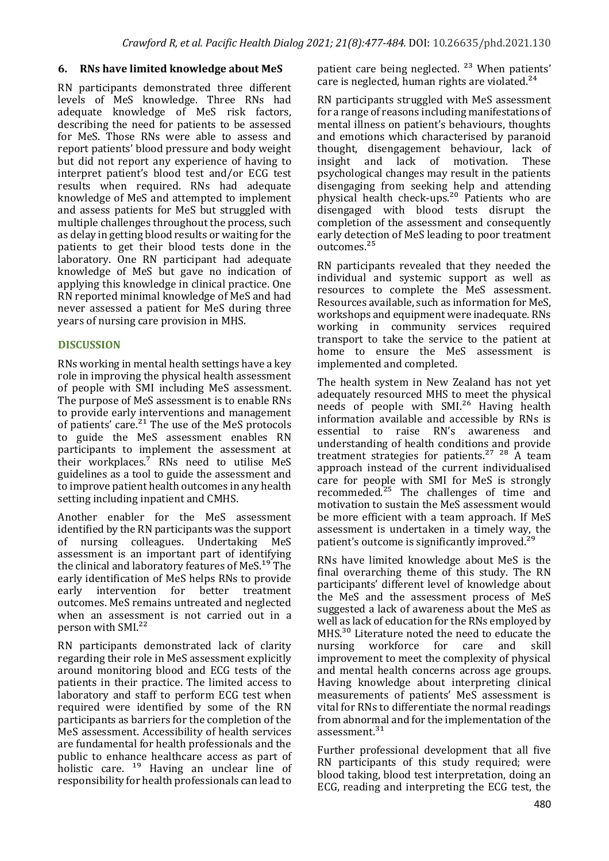# **6. RNs have limited knowledge about MeS**

RN participants demonstrated three different levels of MeS knowledge. Three RNs had adequate knowledge of MeS risk factors, describing the need for patients to be assessed for MeS. Those RNs were able to assess and report patients' blood pressure and body weight but did not report any experience of having to interpret patient's blood test and/or ECG test results when required. RNs had adequate knowledge of MeS and attempted to implement and assess patients for MeS but struggled with multiple challenges throughout the process, such as delay in getting blood results or waiting for the patients to get their blood tests done in the laboratory. One RN participant had adequate knowledge of MeS but gave no indication of applying this knowledge in clinical practice. One RN reported minimal knowledge of MeS and had never assessed a patient for MeS during three years of nursing care provision in MHS.

# **DISCUSSION**

RNs working in mental health settings have a key role in improving the physical health assessment of people with SMI including MeS assessment. The purpose of MeS assessment is to enable RNs to provide early interventions and management of patients' care.<sup>21</sup> The use of the MeS protocols to guide the MeS assessment enables RN participants to implement the assessment at their workplaces.<sup>7</sup> RNs need to utilise MeS guidelines as a tool to guide the assessment and to improve patient health outcomes in any health setting including inpatient and CMHS.

Another enabler for the MeS assessment identified by the RN participants was the support of nursing colleagues. Undertaking MeS assessment is an important part of identifying the clinical and laboratory features of  $MeS<sup>19</sup>$  The early identification of MeS helps RNs to provide early intervention for better treatment outcomes. MeS remains untreated and neglected when an assessment is not carried out in a person with SMI.<sup>22</sup>

RN participants demonstrated lack of clarity regarding their role in MeS assessment explicitly around monitoring blood and ECG tests of the patients in their practice. The limited access to laboratory and staff to perform ECG test when required were identified by some of the RN participants as barriers for the completion of the MeS assessment. Accessibility of health services are fundamental for health professionals and the public to enhance healthcare access as part of holistic care.  $19$  Having an unclear line of responsibility for health professionals can lead to

patient care being neglected.<sup>23</sup> When patients' care is neglected, human rights are violated. $24$ 

RN participants struggled with MeS assessment for a range of reasons including manifestations of mental illness on patient's behaviours, thoughts and emotions which characterised by paranoid thought, disengagement behaviour, lack of insight and lack of motivation. These psychological changes may result in the patients disengaging from seeking help and attending physical health check-ups.<sup>20</sup> Patients who are disengaged with blood tests disrupt the completion of the assessment and consequently early detection of MeS leading to poor treatment outcomes.<sup>25</sup>

RN participants revealed that they needed the individual and systemic support as well as resources to complete the MeS assessment. Resources available, such as information for MeS. workshops and equipment were inadequate. RNs working in community services required transport to take the service to the patient at home to ensure the MeS assessment is implemented and completed.

The health system in New Zealand has not yet adequately resourced MHS to meet the physical needs of people with SMI.<sup>26</sup> Having health information available and accessible by RNs is essential to raise RN's awareness and understanding of health conditions and provide treatment strategies for patients. $27 \times 28$  A team approach instead of the current individualised care for people with SMI for MeS is strongly recommeded. $25$  The challenges of time and motivation to sustain the MeS assessment would be more efficient with a team approach. If MeS assessment is undertaken in a timely way, the patient's outcome is significantly improved.<sup>29</sup>

RNs have limited knowledge about MeS is the final overarching theme of this study. The RN participants' different level of knowledge about the MeS and the assessment process of MeS suggested a lack of awareness about the MeS as well as lack of education for the RNs employed by MHS. $30$  Literature noted the need to educate the nursing workforce for care and skill improvement to meet the complexity of physical and mental health concerns across age groups. Having knowledge about interpreting clinical measurements of patients' MeS assessment is vital for RNs to differentiate the normal readings from abnormal and for the implementation of the assessment. $31$ 

Further professional development that all five RN participants of this study required; were blood taking, blood test interpretation, doing an ECG, reading and interpreting the ECG test, the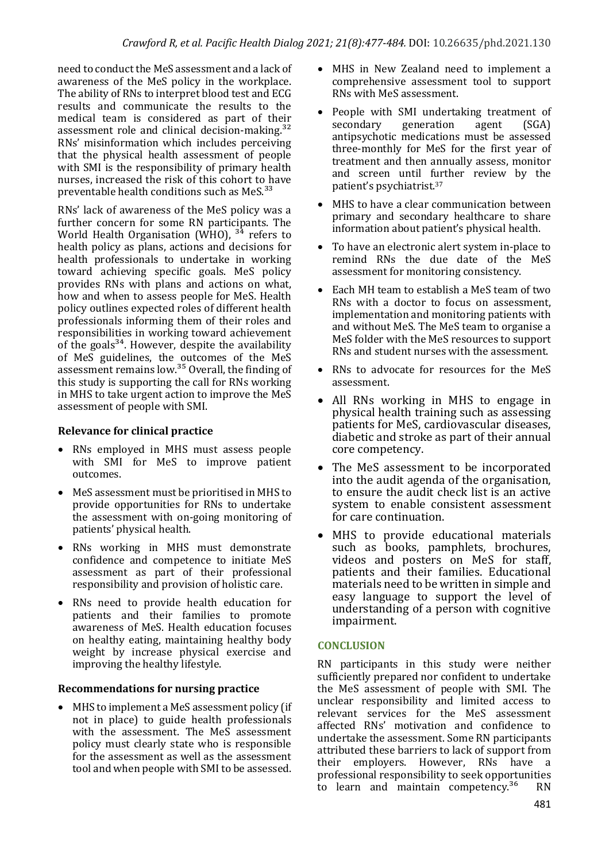need to conduct the MeS assessment and a lack of awareness of the MeS policy in the workplace. The ability of RNs to interpret blood test and ECG results and communicate the results to the medical team is considered as part of their assessment role and clinical decision-making. $32$ RNs' misinformation which includes perceiving that the physical health assessment of people with SMI is the responsibility of primary health nurses, increased the risk of this cohort to have preventable health conditions such as  $MeS.<sup>33</sup>$ 

RNs' lack of awareness of the MeS policy was a further concern for some RN participants. The World Health Organisation (WHO),  $34$  refers to health policy as plans, actions and decisions for health professionals to undertake in working toward achieving specific goals. MeS policy provides RNs with plans and actions on what, how and when to assess people for MeS. Health policy outlines expected roles of different health professionals informing them of their roles and responsibilities in working toward achievement of the goals<sup>34</sup>. However, despite the availability of MeS guidelines, the outcomes of the MeS assessment remains low. $35$  Overall, the finding of this study is supporting the call for RNs working in MHS to take urgent action to improve the MeS assessment of people with SMI.

# **Relevance for clinical practice**

- RNs employed in MHS must assess people with SMI for MeS to improve patient outcomes.
- MeS assessment must be prioritised in MHS to provide opportunities for RNs to undertake the assessment with on-going monitoring of patients' physical health.
- RNs working in MHS must demonstrate confidence and competence to initiate MeS assessment as part of their professional responsibility and provision of holistic care.
- RNs need to provide health education for patients and their families to promote awareness of MeS. Health education focuses on healthy eating, maintaining healthy body weight by increase physical exercise and improving the healthy lifestyle.

# **Recommendations for nursing practice**

 $\bullet$  MHS to implement a MeS assessment policy (if not in place) to guide health professionals with the assessment. The MeS assessment policy must clearly state who is responsible for the assessment as well as the assessment tool and when people with SMI to be assessed.

- MHS in New Zealand need to implement a comprehensive assessment tool to support RNs with MeS assessment.
- People with SMI undertaking treatment of secondary generation agent (SGA) antipsychotic medications must be assessed three-monthly for MeS for the first year of treatment and then annually assess, monitor and screen until further review by the patient's psychiatrist.<sup>37</sup>
- MHS to have a clear communication between primary and secondary healthcare to share information about patient's physical health.
- To have an electronic alert system in-place to remind RNs the due date of the MeS assessment for monitoring consistency.
- Each MH team to establish a MeS team of two RNs with a doctor to focus on assessment. implementation and monitoring patients with and without MeS. The MeS team to organise a MeS folder with the MeS resources to support RNs and student nurses with the assessment.
- RNs to advocate for resources for the MeS assessment.
- All RNs working in MHS to engage in physical health training such as assessing patients for MeS, cardiovascular diseases, diabetic and stroke as part of their annual core competency.
- The MeS assessment to be incorporated into the audit agenda of the organisation, to ensure the audit check list is an active system to enable consistent assessment for care continuation.
- MHS to provide educational materials such as books, pamphlets, brochures, videos and posters on MeS for staff. patients and their families. Educational materials need to be written in simple and easy language to support the level of understanding of a person with cognitive impairment.

# **CONCLUSION**

RN participants in this study were neither sufficiently prepared nor confident to undertake the MeS assessment of people with SMI. The unclear responsibility and limited access to relevant services for the MeS assessment affected RNs' motivation and confidence to undertake the assessment. Some RN participants attributed these barriers to lack of support from their employers. However, RNs have a professional responsibility to seek opportunities to learn and maintain competency.<sup>36</sup> RN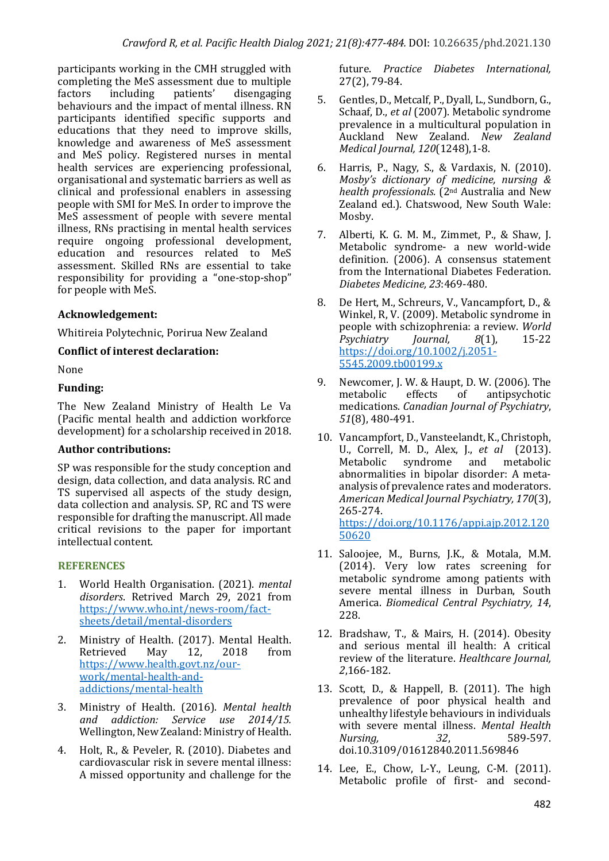participants working in the CMH struggled with completing the MeS assessment due to multiple factors including patients' disengaging behaviours and the impact of mental illness. RN participants identified specific supports and educations that they need to improve skills, knowledge and awareness of MeS assessment and MeS policy. Registered nurses in mental health services are experiencing professional, organisational and systematic barriers as well as clinical and professional enablers in assessing people with SMI for MeS. In order to improve the MeS assessment of people with severe mental illness, RNs practising in mental health services require ongoing professional development, education and resources related to MeS assessment. Skilled RNs are essential to take responsibility for providing a "one-stop-shop" for people with MeS.

# **Acknowledgement:**

Whitireia Polvtechnic, Porirua New Zealand

### **Conflict of interest declaration:**

None

### **Funding:**

The New Zealand Ministry of Health Le Va (Pacific mental health and addiction workforce development) for a scholarship received in 2018.

# **Author contributions:**

SP was responsible for the study conception and design, data collection, and data analysis. RC and TS supervised all aspects of the study design, data collection and analysis. SP, RC and TS were responsible for drafting the manuscript. All made critical revisions to the paper for important intellectual content.

# **REFERENCES**

- 1. World Health Organisation. (2021). *mental disorders*. Retrived March 29, 2021 from https://www.who.int/news-room/factsheets/detail/mental-disorders
- 2. Ministry of Health. (2017). Mental Health.<br>Retrieved May 12, 2018 from Retrieved May 12, 2018 from https://www.health.govt.nz/ourwork/mental-health-andaddictions/mental-health
- 3. Ministry of Health. (2016). Mental health *and addiction: Service use 2014/15.* Wellington, New Zealand: Ministry of Health.
- 4. Holt, R., & Peveler, R. (2010). Diabetes and cardiovascular risk in severe mental illness: A missed opportunity and challenge for the

future. *Practice Diabetes International*, 27(2), 79-84.

- 5. Gentles, D., Metcalf, P., Dyall, L., Sundborn, G., Schaaf, D., *et al* (2007). Metabolic syndrome prevalence in a multicultural population in Auckland New Zealand. *New Zealand Medical Journal, 120*(1248),1-8.
- 6. Harris, P., Nagy, S., & Vardaxis, N. (2010). *Mosby's* dictionary of medicine, nursing & *health professionals.* (2<sup>nd</sup> Australia and New Zealand ed.). Chatswood, New South Wale: Mosby.
- 7. Alberti, K. G. M. M., Zimmet, P., & Shaw, J. Metabolic syndrome- a new world-wide definition. (2006). A consensus statement from the International Diabetes Federation. *Diabetes Medicine, 23*:469-480.
- 8. De Hert, M., Schreurs, V., Vancampfort, D., & Winkel, R, V. (2009). Metabolic syndrome in people with schizophrenia: a review. *World Psychiatry Journal, 8*(1), 15-22 https://doi.org/10.1002/j.2051- 5545.2009.tb00199.x
- 9. Newcomer, J. W. & Haupt, D. W. (2006). The metabolic effects of antipsychotic medications. *Canadian Journal of Psychiatry*, *51*(8), 480-491.
- 10. Vancampfort, D., Vansteelandt, K., Christoph, U., Correll, M. D., Alex, J., et al (2013). Metabolic syndrome and metabolic abnormalities in bipolar disorder: A metaanalysis of prevalence rates and moderators. *American Medical Journal Psychiatry, 170*(3), 265-274. https://doi.org/10.1176/appi.ajp.2012.120 50620
- 11. Saloojee, M., Burns, J.K., & Motala, M.M.  $(2014)$ . Very low rates screening for metabolic syndrome among patients with severe mental illness in Durban, South America. *Biomedical Central Psychiatry, 14*, 228.
- 12. Bradshaw, T., & Mairs, H. (2014). Obesity and serious mental ill health: A critical review of the literature. *Healthcare Journal*, *2*,166-182.
- 13. Scott, D., & Happell, B. (2011). The high prevalence of poor physical health and unhealthy lifestyle behaviours in individuals with severe mental illness. *Mental Health Nursing.* 32, 589-597. doi.10.3109/01612840.2011.569846
- 14. Lee, E., Chow, L-Y., Leung, C-M. (2011). Metabolic profile of first- and second-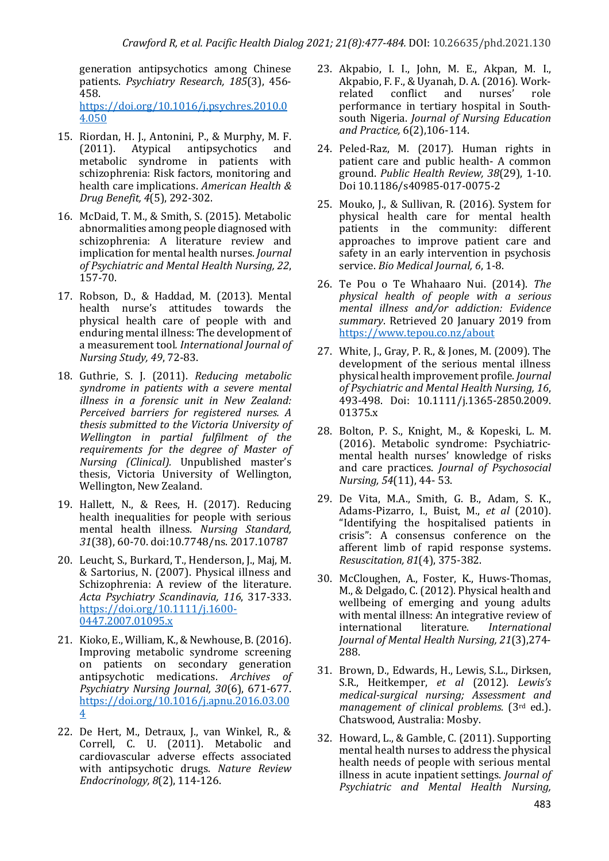generation antipsychotics among Chinese patients. *Psychiatry Research, 185*(3), 456-458. 

https://doi.org/10.1016/j.psychres.2010.0 4.050

- 15. Riordan, H. J., Antonini, P., & Murphy, M. F. (2011). Atypical antipsychotics and metabolic syndrome in patients with schizophrenia: Risk factors, monitoring and health care implications. American Health & *Drug Benefit, 4*(5), 292-302.
- 16. McDaid, T. M., & Smith, S. (2015). Metabolic abnormalities among people diagnosed with schizophrenia: A literature review and implication for mental health nurses. *Journal* of Psychiatric and Mental Health Nursing, 22, 157-70.
- 17. Robson, D., & Haddad, M. (2013). Mental health nurse's attitudes towards the physical health care of people with and enduring mental illness: The development of a measurement tool. International Journal of *Nursing Study, 49*, 72-83.
- 18. Guthrie, S. J. (2011). *Reducing metabolic* syndrome in patients with a severe mental *illness in a forensic unit in New Zealand: Perceived barriers for registered nurses. A thesis submitted to the Victoria University of Wellington in partial fulfilment of the*  requirements for the degree of Master of *Nursing (Clinical).* Unpublished master's thesis, Victoria University of Wellington, Wellington, New Zealand.
- 19. Hallett, N., & Rees, H. (2017). Reducing health inequalities for people with serious mental health illness. *Nursing Standard,*  31(38), 60-70. doi:10.7748/ns. 2017.10787
- 20. Leucht, S., Burkard, T., Henderson, J., Maj, M. & Sartorius, N. (2007). Physical illness and Schizophrenia: A review of the literature. *Acta Psychiatry Scandinavia, 116*, 317-333. https://doi.org/10.1111/j.1600- 0447.2007.01095.x
- 21. Kioko, E., William, K., & Newhouse, B. (2016). Improving metabolic syndrome screening on patients on secondary generation antipsychotic medications. Archives of *Psychiatry Nursing Journal, 30*(6), 671-677. https://doi.org/10.1016/j.apnu.2016.03.00 4
- 22. De Hert, M., Detraux, J., van Winkel, R., & Correll, C. U. (2011). Metabolic and cardiovascular adverse effects associated with antipsychotic drugs. *Nature Review Endocrinology, 8*(2), 114-126.
- 23. Akpabio, I. I., John, M. E., Akpan, M. I., Akpabio, F. F., & Uyanah, D. A. (2016). Workrelated conflict and nurses' role performance in tertiary hospital in Southsouth Nigeria. *Journal of Nursing Education and Practice,* 6(2),106-114.
- 24. Peled-Raz, M. (2017). Human rights in patient care and public health- A common ground. Public Health Review, 38(29), 1-10. Doi 10.1186/s40985-017-0075-2
- 25. Mouko, J., & Sullivan, R. (2016). System for physical health care for mental health patients in the community: different approaches to improve patient care and safety in an early intervention in psychosis service. *Bio Medical Journal*, 6, 1-8.
- 26. Te Pou o Te Whahaaro Nui. (2014). The *physical health of people with a serious mental illness and/or addiction: Evidence*  summary. Retrieved 20 January 2019 from https://www.tepou.co.nz/about
- 27. White, J., Gray, P. R., & Jones, M. (2009). The development of the serious mental illness physical health improvement profile. *Journal*  of Psychiatric and Mental Health Nursing, 16, 493-498. Doi: 10.1111/j.1365-2850.2009. 01375.x
- 28. Bolton, P. S., Knight, M., & Kopeski, L. M. (2016). Metabolic syndrome: Psychiatricmental health nurses' knowledge of risks and care practices. *Journal of Psychosocial Nursing,* 54(11), 44- 53.
- 29. De Vita, M.A., Smith, G. B., Adam, S. K., Adams-Pizarro, I., Buist, M., et al (2010). "Identifying the hospitalised patients in crisis": A consensus conference on the afferent limb of rapid response systems. *Resuscitation, 81*(4), 375-382.
- 30. McCloughen, A., Foster, K., Huws-Thomas, M., & Delgado, C. (2012). Physical health and wellbeing of emerging and voung adults with mental illness: An integrative review of international literature. *International Journal of Mental Health Nursing, 21*(3),274- 288.
- 31. Brown, D., Edwards, H., Lewis, S.L., Dirksen, S.R., Heitkemper, et al (2012). Lewis's *medical-surgical nursing; Assessment and management of clinical problems.* (3<sup>rd</sup> ed.). Chatswood, Australia: Mosby.
- 32. Howard, L., & Gamble, C. (2011). Supporting mental health nurses to address the physical health needs of people with serious mental illness in acute inpatient settings. *Journal of Psychiatric* and *Mental Health Nursing,*